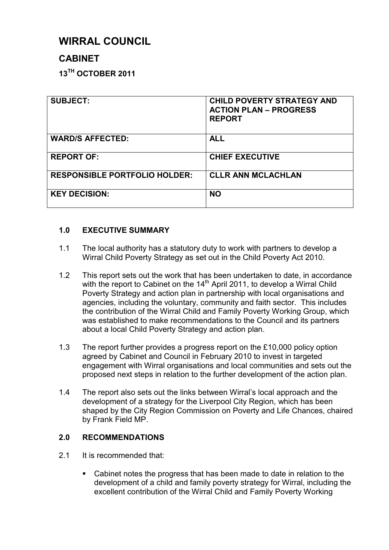# **WIRRAL COUNCIL**

# **CABINET**

**13TH OCTOBER 2011** 

| <b>SUBJECT:</b>                      | <b>CHILD POVERTY STRATEGY AND</b><br><b>ACTION PLAN - PROGRESS</b><br><b>REPORT</b> |
|--------------------------------------|-------------------------------------------------------------------------------------|
| <b>WARD/S AFFECTED:</b>              | <b>ALL</b>                                                                          |
| <b>REPORT OF:</b>                    | <b>CHIEF EXECUTIVE</b>                                                              |
| <b>RESPONSIBLE PORTFOLIO HOLDER:</b> | <b>CLLR ANN MCLACHLAN</b>                                                           |
| <b>KEY DECISION:</b>                 | <b>NO</b>                                                                           |

# **1.0 EXECUTIVE SUMMARY**

- 1.1 The local authority has a statutory duty to work with partners to develop a Wirral Child Poverty Strategy as set out in the Child Poverty Act 2010.
- 1.2 This report sets out the work that has been undertaken to date, in accordance with the report to Cabinet on the  $14<sup>th</sup>$  April 2011, to develop a Wirral Child Poverty Strategy and action plan in partnership with local organisations and agencies, including the voluntary, community and faith sector. This includes the contribution of the Wirral Child and Family Poverty Working Group, which was established to make recommendations to the Council and its partners about a local Child Poverty Strategy and action plan.
- 1.3 The report further provides a progress report on the £10,000 policy option agreed by Cabinet and Council in February 2010 to invest in targeted engagement with Wirral organisations and local communities and sets out the proposed next steps in relation to the further development of the action plan.
- 1.4 The report also sets out the links between Wirral's local approach and the development of a strategy for the Liverpool City Region, which has been shaped by the City Region Commission on Poverty and Life Chances, chaired by Frank Field MP.

# **2.0 RECOMMENDATIONS**

- 2.1 It is recommended that:
	- § Cabinet notes the progress that has been made to date in relation to the development of a child and family poverty strategy for Wirral, including the excellent contribution of the Wirral Child and Family Poverty Working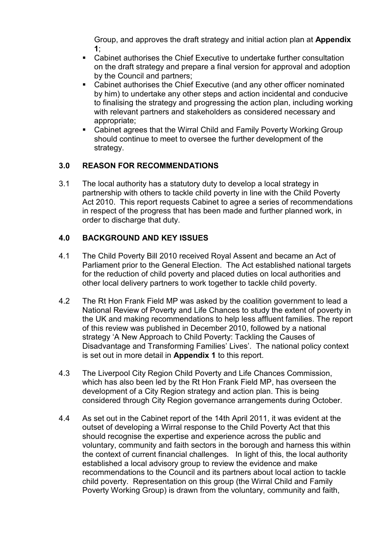Group, and approves the draft strategy and initial action plan at **Appendix 1**;

- Cabinet authorises the Chief Executive to undertake further consultation on the draft strategy and prepare a final version for approval and adoption by the Council and partners;
- Cabinet authorises the Chief Executive (and any other officer nominated by him) to undertake any other steps and action incidental and conducive to finalising the strategy and progressing the action plan, including working with relevant partners and stakeholders as considered necessary and appropriate;
- § Cabinet agrees that the Wirral Child and Family Poverty Working Group should continue to meet to oversee the further development of the strategy.

# **3.0 REASON FOR RECOMMENDATIONS**

3.1 The local authority has a statutory duty to develop a local strategy in partnership with others to tackle child poverty in line with the Child Poverty Act 2010. This report requests Cabinet to agree a series of recommendations in respect of the progress that has been made and further planned work, in order to discharge that duty.

# **4.0 BACKGROUND AND KEY ISSUES**

- 4.1 The Child Poverty Bill 2010 received Royal Assent and became an Act of Parliament prior to the General Election. The Act established national targets for the reduction of child poverty and placed duties on local authorities and other local delivery partners to work together to tackle child poverty.
- 4.2 The Rt Hon Frank Field MP was asked by the coalition government to lead a National Review of Poverty and Life Chances to study the extent of poverty in the UK and making recommendations to help less affluent families. The report of this review was published in December 2010, followed by a national strategy 'A New Approach to Child Poverty: Tackling the Causes of Disadvantage and Transforming Families' Lives'. The national policy context is set out in more detail in **Appendix 1** to this report.
- 4.3 The Liverpool City Region Child Poverty and Life Chances Commission, which has also been led by the Rt Hon Frank Field MP, has overseen the development of a City Region strategy and action plan. This is being considered through City Region governance arrangements during October.
- 4.4 As set out in the Cabinet report of the 14th April 2011, it was evident at the outset of developing a Wirral response to the Child Poverty Act that this should recognise the expertise and experience across the public and voluntary, community and faith sectors in the borough and harness this within the context of current financial challenges. In light of this, the local authority established a local advisory group to review the evidence and make recommendations to the Council and its partners about local action to tackle child poverty. Representation on this group (the Wirral Child and Family Poverty Working Group) is drawn from the voluntary, community and faith,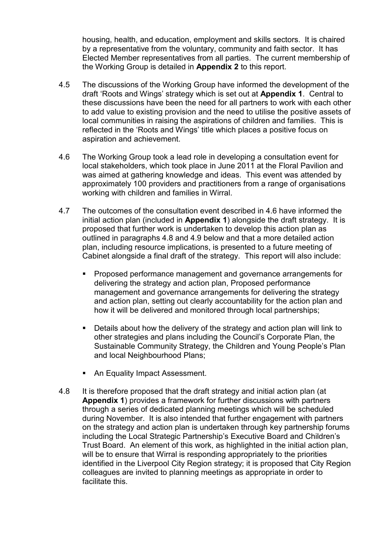housing, health, and education, employment and skills sectors. It is chaired by a representative from the voluntary, community and faith sector. It has Elected Member representatives from all parties. The current membership of the Working Group is detailed in **Appendix 2** to this report.

- 4.5 The discussions of the Working Group have informed the development of the draft 'Roots and Wings' strategy which is set out at **Appendix 1**. Central to these discussions have been the need for all partners to work with each other to add value to existing provision and the need to utilise the positive assets of local communities in raising the aspirations of children and families. This is reflected in the 'Roots and Wings' title which places a positive focus on aspiration and achievement.
- 4.6 The Working Group took a lead role in developing a consultation event for local stakeholders, which took place in June 2011 at the Floral Pavilion and was aimed at gathering knowledge and ideas. This event was attended by approximately 100 providers and practitioners from a range of organisations working with children and families in Wirral.
- 4.7 The outcomes of the consultation event described in 4.6 have informed the initial action plan (included in **Appendix 1**) alongside the draft strategy. It is proposed that further work is undertaken to develop this action plan as outlined in paragraphs 4.8 and 4.9 below and that a more detailed action plan, including resource implications, is presented to a future meeting of Cabinet alongside a final draft of the strategy. This report will also include:
	- § Proposed performance management and governance arrangements for delivering the strategy and action plan, Proposed performance management and governance arrangements for delivering the strategy and action plan, setting out clearly accountability for the action plan and how it will be delivered and monitored through local partnerships;
	- Details about how the delivery of the strategy and action plan will link to other strategies and plans including the Council's Corporate Plan, the Sustainable Community Strategy, the Children and Young People's Plan and local Neighbourhood Plans;
	- An Equality Impact Assessment.
- 4.8 It is therefore proposed that the draft strategy and initial action plan (at **Appendix 1**) provides a framework for further discussions with partners through a series of dedicated planning meetings which will be scheduled during November. It is also intended that further engagement with partners on the strategy and action plan is undertaken through key partnership forums including the Local Strategic Partnership's Executive Board and Children's Trust Board. An element of this work, as highlighted in the initial action plan, will be to ensure that Wirral is responding appropriately to the priorities identified in the Liverpool City Region strategy; it is proposed that City Region colleagues are invited to planning meetings as appropriate in order to facilitate this.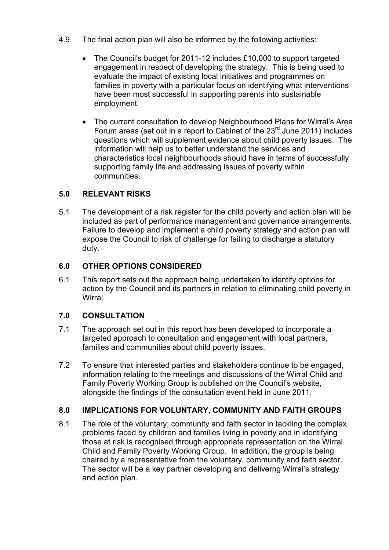- 4.9 The final action plan will also be informed by the following activities:
	- The Council's budget for 2011-12 includes £10,000 to support targeted engagement in respect of developing the strategy. This is being used to evaluate the impact of existing local initiatives and programmes on families in poverty with a particular focus on identifying what interventions have been most successful in supporting parents into sustainable employment.
	- The current consultation to develop Neighbourhood Plans for Wirral's Area Forum areas (set out in a report to Cabinet of the  $23<sup>rd</sup>$  June 2011) includes questions which will supplement evidence about child poverty issues. The information will help us to better understand the services and characteristics local neighbourhoods should have in terms of successfully supporting family life and addressing issues of poverty within communities.

# **5.0 RELEVANT RISKS**

5.1 The development of a risk register for the child poverty and action plan will be included as part of performance management and governance arrangements. Failure to develop and implement a child poverty strategy and action plan will expose the Council to risk of challenge for failing to discharge a statutory duty.

#### **6.0 OTHER OPTIONS CONSIDERED**

6.1 This report sets out the approach being undertaken to identify options for action by the Council and its partners in relation to eliminating child poverty in **Wirral** 

#### **7.0 CONSULTATION**

- 7.1 The approach set out in this report has been developed to incorporate a targeted approach to consultation and engagement with local partners, families and communities about child poverty issues.
- 7.2 To ensure that interested parties and stakeholders continue to be engaged, information relating to the meetings and discussions of the Wirral Child and Family Poverty Working Group is published on the Council's website, alongside the findings of the consultation event held in June 2011.

#### **8.0 IMPLICATIONS FOR VOLUNTARY, COMMUNITY AND FAITH GROUPS**

8.1 The role of the voluntary, community and faith sector in tackling the complex problems faced by children and families living in poverty and in identifying those at risk is recognised through appropriate representation on the Wirral Child and Family Poverty Working Group. In addition, the group is being chaired by a representative from the voluntary, community and faith sector. The sector will be a key partner developing and deliverng Wirral's strategy and action plan.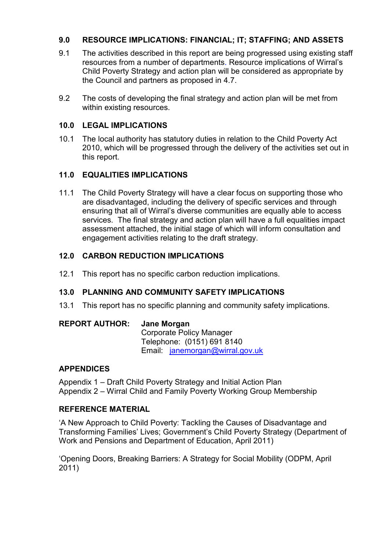# **9.0 RESOURCE IMPLICATIONS: FINANCIAL; IT; STAFFING; AND ASSETS**

- 9.1 The activities described in this report are being progressed using existing staff resources from a number of departments. Resource implications of Wirral's Child Poverty Strategy and action plan will be considered as appropriate by the Council and partners as proposed in 4.7.
- 9.2 The costs of developing the final strategy and action plan will be met from within existing resources.

#### **10.0 LEGAL IMPLICATIONS**

10.1 The local authority has statutory duties in relation to the Child Poverty Act 2010, which will be progressed through the delivery of the activities set out in this report.

#### **11.0 EQUALITIES IMPLICATIONS**

11.1 The Child Poverty Strategy will have a clear focus on supporting those who are disadvantaged, including the delivery of specific services and through ensuring that all of Wirral's diverse communities are equally able to access services. The final strategy and action plan will have a full equalities impact assessment attached, the initial stage of which will inform consultation and engagement activities relating to the draft strategy.

#### **12.0 CARBON REDUCTION IMPLICATIONS**

12.1 This report has no specific carbon reduction implications.

# **13.0 PLANNING AND COMMUNITY SAFETY IMPLICATIONS**

13.1 This report has no specific planning and community safety implications.

#### **REPORT AUTHOR: Jane Morgan**

Corporate Policy Manager Telephone: (0151) 691 8140 Email: janemorgan@wirral.gov.uk

#### **APPENDICES**

Appendix 1 – Draft Child Poverty Strategy and Initial Action Plan Appendix 2 – Wirral Child and Family Poverty Working Group Membership

#### **REFERENCE MATERIAL**

'A New Approach to Child Poverty: Tackling the Causes of Disadvantage and Transforming Families' Lives; Government's Child Poverty Strategy (Department of Work and Pensions and Department of Education, April 2011)

'Opening Doors, Breaking Barriers: A Strategy for Social Mobility (ODPM, April 2011)